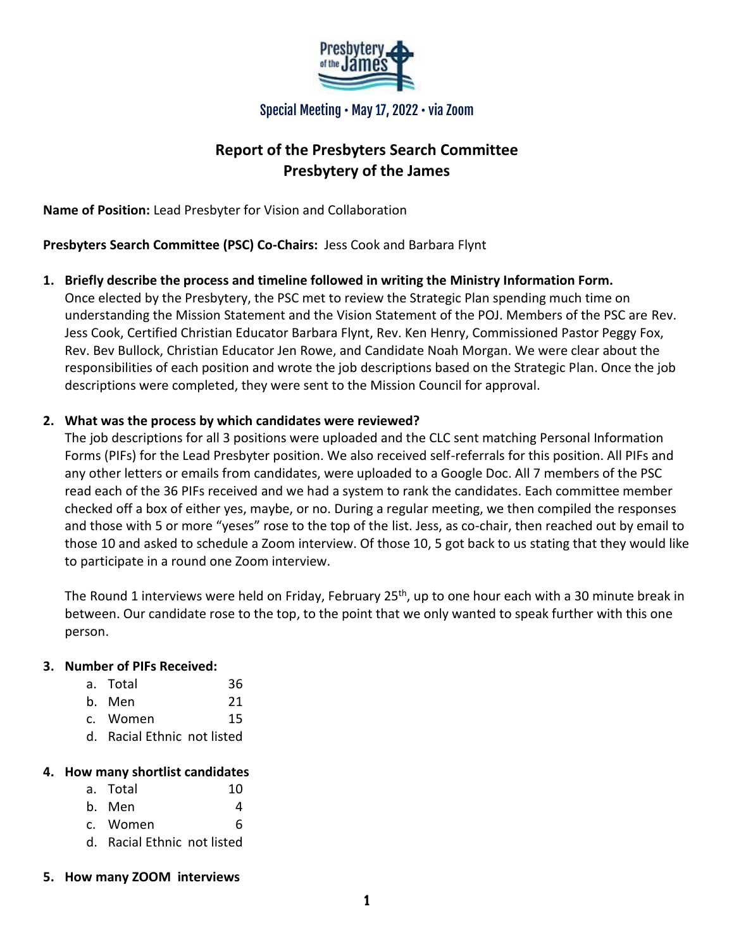

Special Meeting • May 17, 2022 • via Zoom

# **Report of the Presbyters Search Committee Presbytery of the James**

**Name of Position:** Lead Presbyter for Vision and Collaboration

**Presbyters Search Committee (PSC) Co-Chairs:** Jess Cook and Barbara Flynt

**1. Briefly describe the process and timeline followed in writing the Ministry Information Form.** Once elected by the Presbytery, the PSC met to review the Strategic Plan spending much time on understanding the Mission Statement and the Vision Statement of the POJ. Members of the PSC are Rev. Jess Cook, Certified Christian Educator Barbara Flynt, Rev. Ken Henry, Commissioned Pastor Peggy Fox, Rev. Bev Bullock, Christian Educator Jen Rowe, and Candidate Noah Morgan. We were clear about the responsibilities of each position and wrote the job descriptions based on the Strategic Plan. Once the job descriptions were completed, they were sent to the Mission Council for approval.

#### **2. What was the process by which candidates were reviewed?**

The job descriptions for all 3 positions were uploaded and the CLC sent matching Personal Information Forms (PIFs) for the Lead Presbyter position. We also received self-referrals for this position. All PIFs and any other letters or emails from candidates, were uploaded to a Google Doc. All 7 members of the PSC read each of the 36 PIFs received and we had a system to rank the candidates. Each committee member checked off a box of either yes, maybe, or no. During a regular meeting, we then compiled the responses and those with 5 or more "yeses" rose to the top of the list. Jess, as co-chair, then reached out by email to those 10 and asked to schedule a Zoom interview. Of those 10, 5 got back to us stating that they would like to participate in a round one Zoom interview.

The Round 1 interviews were held on Friday, February 25<sup>th</sup>, up to one hour each with a 30 minute break in between. Our candidate rose to the top, to the point that we only wanted to speak further with this one person.

#### **3. Number of PIFs Received:**

- a. Total 36
- b. Men 21
- c. Women 15
- d. Racial Ethnic not listed

#### **4. How many shortlist candidates**

- a. Total 10
- $b.$  Men  $4$
- c. Women 6
- d. Racial Ethnic not listed
- **5. How many ZOOM interviews**